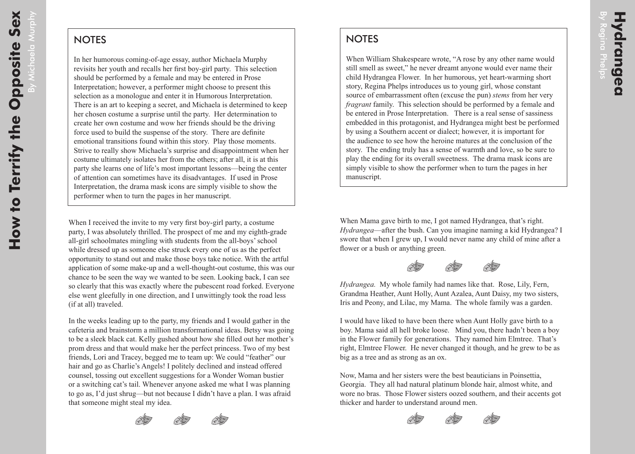By Michaela Murphy

chaela Murphy

## **NOTES**

In her humorous coming-of-age essay, author Michaela Murphy revisits her youth and recalls her first boy-girl party. This selection should be performed by a female and may be entered in Prose Interpretation; however, a performer might choose to present this selection as a monologue and enter it in Humorous Interpretation. There is an art to keeping a secret, and Michaela is determined to keep her chosen costume a surprise until the party. Her determination to create her own costume and wow her friends should be the driving force used to build the suspense of the story. There are definite emotional transitions found within this story. Play those moments. Strive to really show Michaela's surprise and disappointment when her costume ultimately isolates her from the others; after all, it is at this party she learns one of life's most important lessons—being the center of attention can sometimes have its disadvantages. If used in Prose Interpretation, the drama mask icons are simply visible to show the performer when to turn the pages in her manuscript.

When I received the invite to my very first boy-girl party, a costume party, I was absolutely thrilled. The prospect of me and my eighth-grade all-girl schoolmates mingling with students from the all-boys' school while dressed up as someone else struck every one of us as the perfect opportunity to stand out and make those boys take notice. With the artful application of some make-up and a well-thought-out costume, this was our chance to be seen the way we wanted to be seen. Looking back, I can see so clearly that this was exactly where the pubescent road forked. Everyone else went gleefully in one direction, and I unwittingly took the road less (if at all) traveled.

In the weeks leading up to the party, my friends and I would gather in the cafeteria and brainstorm a million transformational ideas. Betsy was going to be a sleek black cat. Kelly gushed about how she filled out her mother's prom dress and that would make her the perfect princess. Two of my best friends, Lori and Tracey, begged me to team up: We could "feather" our hair and go as Charlie's Angels! I politely declined and instead offered counsel, tossing out excellent suggestions for a Wonder Woman bustier or a switching cat's tail. Whenever anyone asked me what I was planning to go as, I'd just shrug—but not because I didn't have a plan. I was afraid that someone might steal my idea.